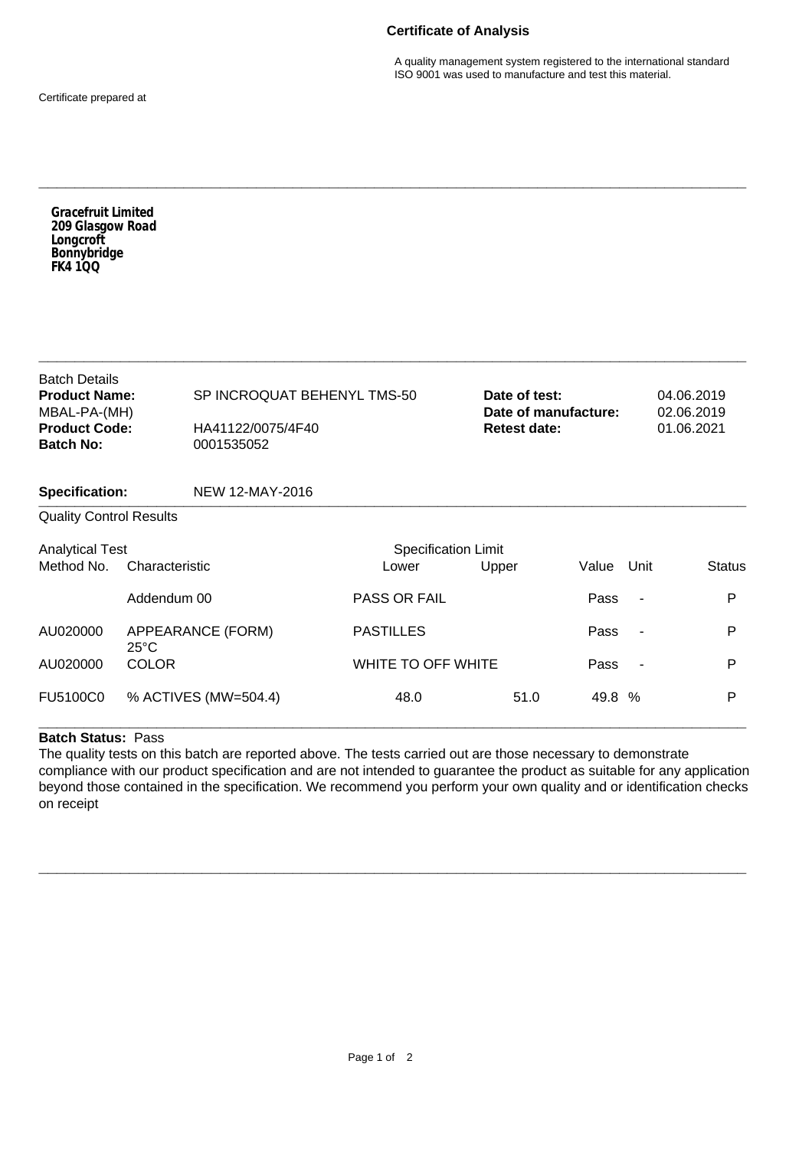## **Certificate of Analysis**

A quality management system registered to the international standard ISO 9001 was used to manufacture and test this material.

Certificate prepared at

**Specification:** NEW 12-MAY-2016 **\_\_\_\_\_\_\_\_\_\_\_\_\_\_\_\_\_\_\_\_\_\_\_\_\_\_\_\_\_\_\_\_\_\_\_\_\_\_\_\_\_\_\_\_\_\_\_\_\_\_\_\_\_\_\_\_\_\_\_\_\_\_\_\_\_\_\_\_\_\_\_\_\_\_\_\_\_\_** Quality Control Results Analytical Test **Specification Limit** Specification Limit Method No. Characteristic Lower Upper Value Unit Status Addendum 00 **PASS OR FAIL** Pass - P AU020000 APPEARANCE (FORM) PASTILLES Pass - P 25°C AU020000 COLOR WHITE TO OFF WHITE NEXT PASS - P FU5100C0 % ACTIVES (MW=504.4) 48.0 51.0 49.8 % P **\_\_\_\_\_\_\_\_\_\_\_\_\_\_\_\_\_\_\_\_\_\_\_\_\_\_\_\_\_\_\_\_\_\_\_\_\_\_\_\_\_\_\_\_\_\_\_\_\_\_\_\_\_\_\_\_\_\_\_\_\_\_\_\_\_\_\_\_\_\_\_\_\_\_\_\_\_\_ Batch Details<br>Product Name: SP INCROQUAT BEHENYL TMS-50** MBAL-PA-(MH)<br>**Product Code: Product Code:** HA41122/0075/4F40 **Batch No:** 0001535052 **Date of test:** 04.06.2019<br> **Date of manufacture:** 02.06.2019 **Date of manufacture: Retest date:** 01.06.2021 **\_\_\_\_\_\_\_\_\_\_\_\_\_\_\_\_\_\_\_\_\_\_\_\_\_\_\_\_\_\_\_\_\_\_\_\_\_\_\_\_\_\_\_\_\_\_\_\_\_\_\_\_\_\_\_\_\_\_\_\_\_\_\_\_\_\_\_\_\_\_\_\_\_\_\_\_\_\_** *Gracefruit Limited 209 Glasgow Road Longcroft Bonnybridge FK4 1QQ*

**\_\_\_\_\_\_\_\_\_\_\_\_\_\_\_\_\_\_\_\_\_\_\_\_\_\_\_\_\_\_\_\_\_\_\_\_\_\_\_\_\_\_\_\_\_\_\_\_\_\_\_\_\_\_\_\_\_\_\_\_\_\_\_\_\_\_\_\_\_\_\_\_\_\_\_\_\_\_**

## **Batch Status:** Pass

The quality tests on this batch are reported above. The tests carried out are those necessary to demonstrate compliance with our product specification and are not intended to guarantee the product as suitable for any application beyond those contained in the specification. We recommend you perform your own quality and or identification checks on receipt

**\_\_\_\_\_\_\_\_\_\_\_\_\_\_\_\_\_\_\_\_\_\_\_\_\_\_\_\_\_\_\_\_\_\_\_\_\_\_\_\_\_\_\_\_\_\_\_\_\_\_\_\_\_\_\_\_\_\_\_\_\_\_\_\_\_\_\_\_\_\_\_\_\_\_\_\_\_\_**